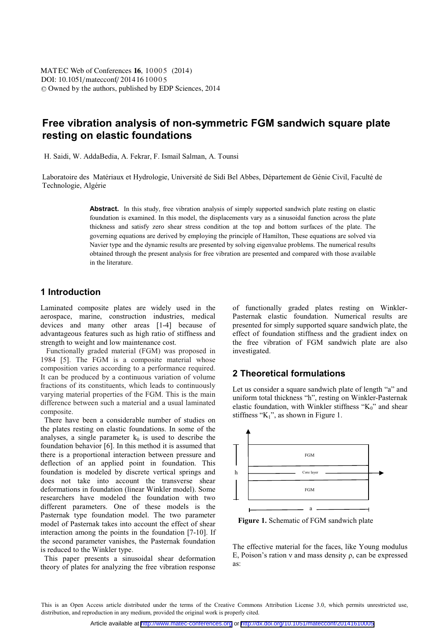# **Free vibration analysis of non-symmetric FGM sandwich square plate resting on elastic foundations**

H. Saidi, W. AddaBedia, A. Fekrar, F. Ismail Salman, A. Tounsi

Laboratoire des Matériaux et Hydrologie, Université de Sidi Bel Abbes, Département de Génie Civil, Faculté de Technologie, Algérie

> Abstract. In this study, free vibration analysis of simply supported sandwich plate resting on elastic foundation is examined. In this model, the displacements vary as a sinusoidal function across the plate thickness and satisfy zero shear stress condition at the top and bottom surfaces of the plate. The governing equations are derived by employing the principle of Hamilton, These equations are solved via Navier type and the dynamic results are presented by solving eigenvalue problems. The numerical results obtained through the present analysis for free vibration are presented and compared with those available in the literature.

# **1 Introduction**

Laminated composite plates are widely used in the aerospace, marine, construction industries, medical devices and many other areas [1-4] because of advantageous features such as high ratio of stiffness and strength to weight and low maintenance cost.

 Functionally graded material (FGM) was proposed in 1984 [5]. The FGM is a composite material whose composition varies according to a performance required. It can be produced by a continuous variation of volume fractions of its constituents, which leads to continuously varying material properties of the FGM. This is the main difference between such a material and a usual laminated composite.

 There have been a considerable number of studies on the plates resting on elastic foundations. In some of the analyses, a single parameter  $k_0$  is used to describe the foundation behavior [6]. In this method it is assumed that there is a proportional interaction between pressure and deflection of an applied point in foundation. This foundation is modeled by discrete vertical springs and does not take into account the transverse shear deformations in foundation (linear Winkler model). Some researchers have modeled the foundation with two different parameters. One of these models is the Pasternak type foundation model. The two parameter model of Pasternak takes into account the effect of shear interaction among the points in the foundation [7-10]. If the second parameter vanishes, the Pasternak foundation is reduced to the Winkler type.

 This paper presents a sinusoidal shear deformation theory of plates for analyzing the free vibration response

of functionally graded plates resting on Winkler-Pasternak elastic foundation. Numerical results are presented for simply supported square sandwich plate, the effect of foundation stiffness and the gradient index on the free vibration of FGM sandwich plate are also investigated.

#### **2 Theoretical formulations**

Let us consider a square sandwich plate of length "a" and uniform total thickness "h", resting on Winkler-Pasternak elastic foundation, with Winkler stiffness "K<sub>0</sub>" and shear stiffness " $K_1$ ", as shown in Figure 1.



**Figure 1.** Schematic of FGM sandwich plate

The effective material for the faces, like Young modulus E, Poison's ration  $v$  and mass density  $\rho$ , can be expressed as:

This is an Open Access article distributed under the terms of the Creative Commons Attribution License 3.0, which permits unrestricted use, distribution, and reproduction in any medium, provided the original work is properly cited.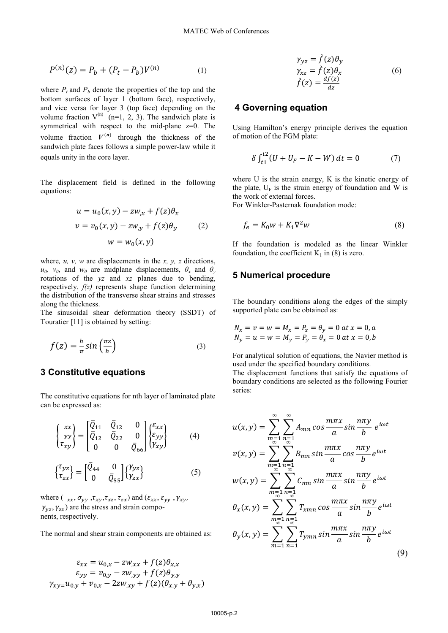$$
P^{(n)}(z) = P_b + (P_t - P_b)V^{(n)}
$$
 (1)

where  $P_t$  and  $P_b$  denote the properties of the top and the bottom surfaces of layer 1 (bottom face), respectively, and vice versa for layer 3 (top face) depending on the volume fraction  $V^{(n)}$  (n=1, 2, 3). The sandwich plate is symmetrical with respect to the mid-plane z=0. The volume fraction  $V^{(n)}$  through the thickness of the sandwich plate faces follows a simple power-law while it equals unity in the core layer.

The displacement field is defined in the following equations:

$$
u = u_0(x, y) - zw_{,x} + f(z)\theta_x
$$
  

$$
v = v_0(x, y) - zw_{,y} + f(z)\theta_y
$$
  

$$
w = w_0(x, y)
$$
 (2)

where*, u, v, w* are displacements in the *x, y, z* directions,  $u_0$ ,  $v_0$ , and  $w_0$  are midplane displacements,  $\theta_x$  and  $\theta_y$ rotations of the *yz* and *xz* planes due to bending, respectively. *f(z)* represents shape function determining the distribution of the transverse shear strains and stresses along the thickness.

The sinusoidal shear deformation theory (SSDT) of Touratier [11] is obtained by setting:

$$
f(z) = -\frac{h}{\pi} \sin\left(\frac{\pi z}{h}\right) \tag{3}
$$

### **3 Constitutive equations**

The constitutive equations for nth layer of laminated plate can be expressed as:

$$
\begin{Bmatrix} xx \\ yy \\ \tau_{xy} \end{Bmatrix} = \begin{bmatrix} \overline{Q}_{11} & \overline{Q}_{12} & 0 \\ \overline{Q}_{12} & \overline{Q}_{22} & 0 \\ 0 & 0 & \overline{Q}_{66} \end{bmatrix} \begin{Bmatrix} \varepsilon_{xx} \\ \varepsilon_{yy} \\ \gamma_{xy} \end{Bmatrix}
$$
 (4)

$$
\begin{Bmatrix} \tau_{yz} \\ \tau_{zx} \end{Bmatrix} = \begin{bmatrix} \bar{Q}_{44} & 0 \\ 0 & \bar{Q}_{55} \end{bmatrix} \begin{Bmatrix} \gamma_{yz} \\ \gamma_{zx} \end{Bmatrix}
$$
 (5)

where ( $_{xx}, \sigma_{yy}, \tau_{xy}, \tau_{xz}, \tau_{zx}$ ) and ( $\epsilon_{xx}, \epsilon_{yy}, \gamma_{xy}$ ,  $\gamma_{vz}, \gamma_{zx}$ ) are the stress and strain components, respectively.

The normal and shear strain components are obtained as:

$$
\varepsilon_{xx} = u_{0,x} - zw_{,xx} + f(z)\theta_{x,x}
$$
  
\n
$$
\varepsilon_{yy} = v_{0,y} - zw_{,yy} + f(z)\theta_{y,y}
$$
  
\n
$$
\gamma_{xy} = u_{0,y} + v_{0,x} - 2zw_{,xy} + f(z)(\theta_{x,y} + \theta_{y,x})
$$

$$
\gamma_{yz} = \hat{f}(z)\theta_y \n\gamma_{xz} = \hat{f}(z)\theta_x \n\hat{f}(z) = \frac{df(z)}{dz}
$$
\n(6)

#### **4 Governing equation**

Using Hamilton's energy principle derives the equation of motion of the FGM plate:

$$
\delta \int_{t1}^{t2} (U + U_F - K - W) \, dt = 0 \tag{7}
$$

where U is the strain energy, K is the kinetic energy of the plate,  $U_F$  is the strain energy of foundation and W is the work of external forces.

For Winkler-Pasternak foundation mode:

$$
f_e = K_0 w + K_1 \nabla^2 w \tag{8}
$$

If the foundation is modeled as the linear Winkler foundation, the coefficient  $K_1$  in (8) is zero.

#### **5 Numerical procedure**

The boundary conditions along the edges of the simply supported plate can be obtained as:

$$
N_x = v = w = M_x = P_x = \theta_y = 0
$$
 at  $x = 0, a$   
 $N_y = u = w = M_y = P_y = \theta_x = 0$  at  $x = 0, b$ 

For analytical solution of equations, the Navier method is used under the specified boundary conditions.

The displacement functions that satisfy the equations of boundary conditions are selected as the following Fourier series:

$$
u(x,y) = \sum_{m=1}^{\infty} \sum_{n=1}^{\infty} A_{mn} \cos \frac{m\pi x}{a} \sin \frac{n\pi y}{b} e^{i\omega t}
$$
  

$$
v(x,y) = \sum_{m=1}^{\infty} \sum_{n=1}^{\infty} B_{mn} \sin \frac{m\pi x}{a} \cos \frac{n\pi y}{b} e^{i\omega t}
$$
  

$$
w(x,y) = \sum_{m=1}^{\infty} \sum_{n=1}^{\infty} C_{mn} \sin \frac{m\pi x}{a} \sin \frac{n\pi y}{b} e^{i\omega t}
$$
  

$$
\theta_x(x,y) = \sum_{m=1}^{\infty} \sum_{n=1}^{\infty} T_{xmn} \cos \frac{m\pi x}{a} \sin \frac{n\pi y}{b} e^{i\omega t}
$$
  

$$
\theta_y(x,y) = \sum_{m=1}^{\infty} \sum_{n=1}^{\infty} T_{ymn} \sin \frac{m\pi x}{a} \sin \frac{n\pi y}{b} e^{i\omega t}
$$
(9)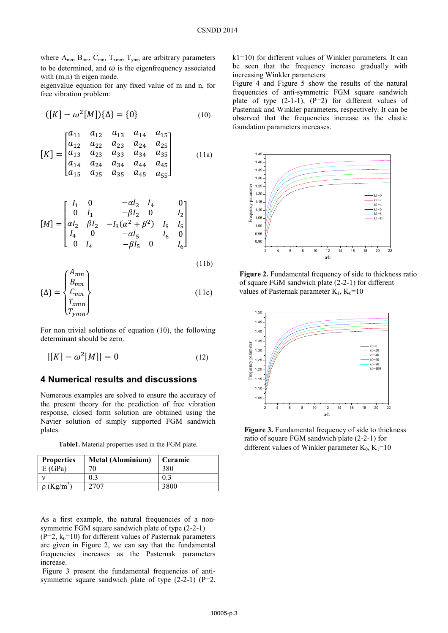where  $A_{mn}$ ,  $B_{mn}$ ,  $C_{mn}$ ,  $T_{xmn}$ ,  $T_{ymn}$  are arbitrary parameters to be determined, and  $\omega$  is the eigenfrequency associated with  $(m,n)$  th eigen mode.

eigenvalue equation for any fixed value of m and n, for free vibration problem:

$$
([K] - \omega^2[M])\{\Delta\} = \{0\} \tag{10}
$$

$$
[K] = \begin{bmatrix} a_{11} & a_{12} & a_{13} & a_{14} & a_{15} \\ a_{12} & a_{22} & a_{23} & a_{24} & a_{25} \\ a_{13} & a_{23} & a_{33} & a_{34} & a_{35} \\ a_{14} & a_{24} & a_{34} & a_{44} & a_{45} \\ a_{15} & a_{25} & a_{35} & a_{45} & a_{55} \end{bmatrix}
$$
 (11a)

$$
[M] = \begin{bmatrix} I_1 & 0 & -\alpha I_2 & I_4 & 0 \\ 0 & I_1 & -\beta I_2 & 0 & I_2 \\ \alpha I_2 & \beta I_2 & -I_3(\alpha^2 + \beta^2) & I_5 & I_5 \\ I_4 & 0 & -\alpha I_5 & I_6 & 0 \\ 0 & I_4 & -\beta I_5 & 0 & I_6 \end{bmatrix}
$$

$$
\{\Delta\} = \begin{Bmatrix} A_{mn} \\ B_{mn} \\ C_{mn} \\ T_{xmn} \\ T_{ymn} \end{Bmatrix}
$$
\n(11b)\n(11c)

For non trivial solutions of equation (10), the following determinant should be zero.

$$
|[K] - \omega^2[M]| = 0 \tag{12}
$$

### **4 Numerical results and discussions**

Numerous examples are solved to ensure the accuracy of the present theory for the prediction of free vibration response, closed form solution are obtained using the Navier solution of simply supported FGM sandwich plates.

**Table1.** Material properties used in the FGM plate.

| <b>Properties</b>           | <b>Metal (Aluminium)</b> | Ceramic |
|-----------------------------|--------------------------|---------|
| E(GPa)                      | 70                       | 380     |
|                             | 0.3                      | 0.3     |
| $\rho$ (Kg/m <sup>3</sup> ) | 2707                     | 3800    |

As a first example, the natural frequencies of a nonsymmetric FGM square sandwich plate of type (2-2-1)  $(P=2, k_0=10)$  for different values of Pasternak parameters

are given in Figure 2, we can say that the fundamental frequencies increases as the Pasternak parameters increase.

Figure 3 present the fundamental frequencies of antisymmetric square sandwich plate of type  $(2-2-1)$   $(P=2,$  k1=10) for different values of Winkler parameters. It can be seen that the frequency increase gradually with increasing Winkler parameters.

Figure 4 and Figure 5 show the results of the natural frequencies of anti-symmetric FGM square sandwich plate of type  $(2-1-1)$ ,  $(P=2)$  for different values of Pasternak and Winkler parameters, respectively. It can be observed that the frequencies increase as the elastic foundation parameters increases.



**Figure 2.** Fundamental frequency of side to thickness ratio of square FGM sandwich plate (2-2-1) for different values of Pasternak parameter  $K_1$ ,  $K_0=10$ 



**Figure 3.** Fundamental frequency of side to thickness ratio of square FGM sandwich plate (2-2-1) for different values of Winkler parameter  $K_0$ ,  $K_1=10$